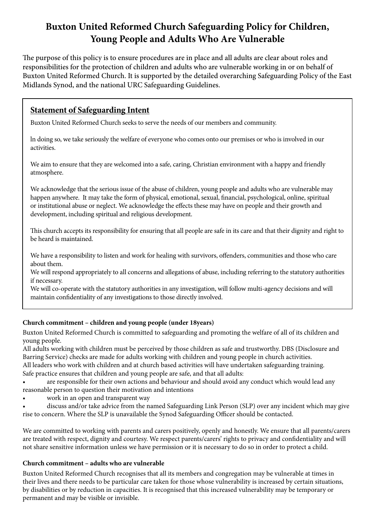# **Buxton United Reformed Church Safeguarding Policy for Children, Young People and Adults Who Are Vulnerable**

The purpose of this policy is to ensure procedures are in place and all adults are clear about roles and responsibilities for the protection of children and adults who are vulnerable working in or on behalf of Buxton United Reformed Church. It is supported by the detailed overarching Safeguarding Policy of the East Midlands Synod, and the national URC Safeguarding Guidelines.

# **Statement of Safeguarding Intent**

Buxton United Reformed Church seeks to serve the needs of our members and community.

ln doing so, we take seriously the welfare of everyone who comes onto our premises or who is involved in our activities.

We aim to ensure that they are welcomed into a safe, caring, Christian environment with a happy and friendly atmosphere.

We acknowledge that the serious issue of the abuse of children, young people and adults who are vulnerable may happen anywhere. It may take the form of physical, emotional, sexual, financial, psychological, online, spiritual or institutional abuse or neglect. We acknowledge the effects these may have on people and their growth and development, including spiritual and religious development.

This church accepts its responsibility for ensuring that all people are safe in its care and that their dignity and right to be heard is maintained.

We have a responsibility to listen and work for healing with survivors, offenders, communities and those who care about them.

We will respond appropriately to all concerns and allegations of abuse, including referring to the statutory authorities if necessary.

We will co-operate with the statutory authorities in any investigation, will follow multi-agency decisions and will maintain confidentiality of any investigations to those directly involved.

# **Church commitment – children and young people (under 18years)**

Buxton United Reformed Church is committed to safeguarding and promoting the welfare of all of its children and young people.

All adults working with children must be perceived by those children as safe and trustworthy. DBS (Disclosure and Barring Service) checks are made for adults working with children and young people in church activities.

All leaders who work with children and at church based activities will have undertaken safeguarding training. Safe practice ensures that children and young people are safe, and that all adults:

are responsible for their own actions and behaviour and should avoid any conduct which would lead any reasonable person to question their motivation and intentions

- work in an open and transparent way
- discuss and/or take advice from the named Safeguarding Link Person (SLP) over any incident which may give rise to concern. Where the SLP is unavailable the Synod Safeguarding Officer should be contacted.

We are committed to working with parents and carers positively, openly and honestly. We ensure that all parents/carers are treated with respect, dignity and courtesy. We respect parents/carers' rights to privacy and confidentiality and will not share sensitive information unless we have permission or it is necessary to do so in order to protect a child.

# **Church commitment – adults who are vulnerable**

Buxton United Reformed Church recognises that all its members and congregation may be vulnerable at times in their lives and there needs to be particular care taken for those whose vulnerability is increased by certain situations, by disabilities or by reduction in capacities. It is recognised that this increased vulnerability may be temporary or permanent and may be visible or invisible.